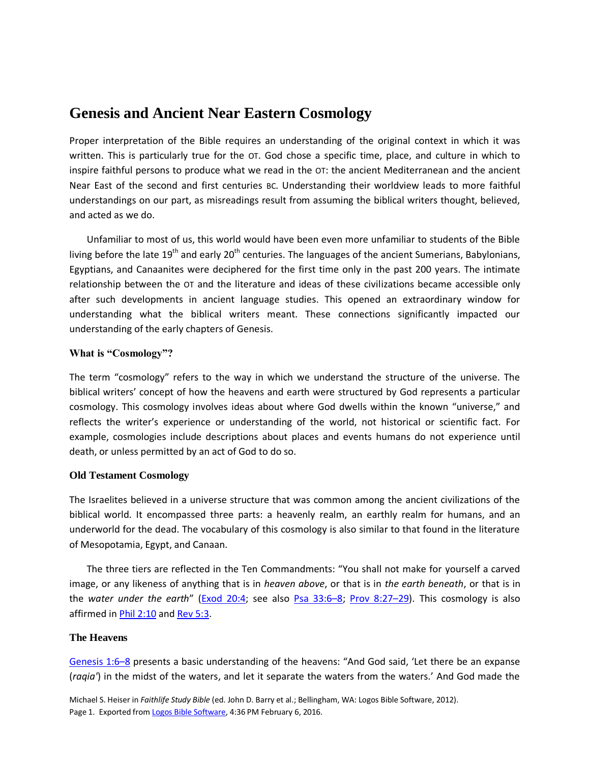## **Genesis and Ancient Near Eastern Cosmology**

Proper interpretation of the Bible requires an understanding of the original context in which it was written. This is particularly true for the OT. God chose a specific time, place, and culture in which to inspire faithful persons to produce what we read in the OT: the ancient Mediterranean and the ancient Near East of the second and first centuries BC. Understanding their worldview leads to more faithful understandings on our part, as misreadings result from assuming the biblical writers thought, believed, and acted as we do.

Unfamiliar to most of us, this world would have been even more unfamiliar to students of the Bible living before the late 19<sup>th</sup> and early 20<sup>th</sup> centuries. The languages of the ancient Sumerians, Babylonians, Egyptians, and Canaanites were deciphered for the first time only in the past 200 years. The intimate relationship between the OT and the literature and ideas of these civilizations became accessible only after such developments in ancient language studies. This opened an extraordinary window for understanding what the biblical writers meant. These connections significantly impacted our understanding of the early chapters of Genesis.

### **What is "Cosmology"?**

The term "cosmology" refers to the way in which we understand the structure of the universe. The biblical writers' concept of how the heavens and earth were structured by God represents a particular cosmology. This cosmology involves ideas about where God dwells within the known "universe," and reflects the writer's experience or understanding of the world, not historical or scientific fact. For example, cosmologies include descriptions about places and events humans do not experience until death, or unless permitted by an act of God to do so.

#### **Old Testament Cosmology**

The Israelites believed in a universe structure that was common among the ancient civilizations of the biblical world. It encompassed three parts: a heavenly realm, an earthly realm for humans, and an underworld for the dead. The vocabulary of this cosmology is also similar to that found in the literature of Mesopotamia, Egypt, and Canaan.

The three tiers are reflected in the Ten Commandments: "You shall not make for yourself a carved image, or any likeness of anything that is in *heaven above*, or that is in *the earth beneath*, or that is in the *water under the earth*" ([Exod 20:4;](logosref:Bible.Ex20.4) see also [Psa 33:6](logosref:Bible.Ps33.6-8)–8; [Prov 8:27](logosref:Bible.Pr8.27-29)–29). This cosmology is also affirmed in *Phil 2:10* and *Rev 5:3.* 

#### **The Heavens**

[Genesis 1:6](logosref:Bible.Ge1.6-8)–8 presents a basic understanding of the heavens: "And God said, 'Let there be an expanse (*raqia'*) in the midst of the waters, and let it separate the waters from the waters.' And God made the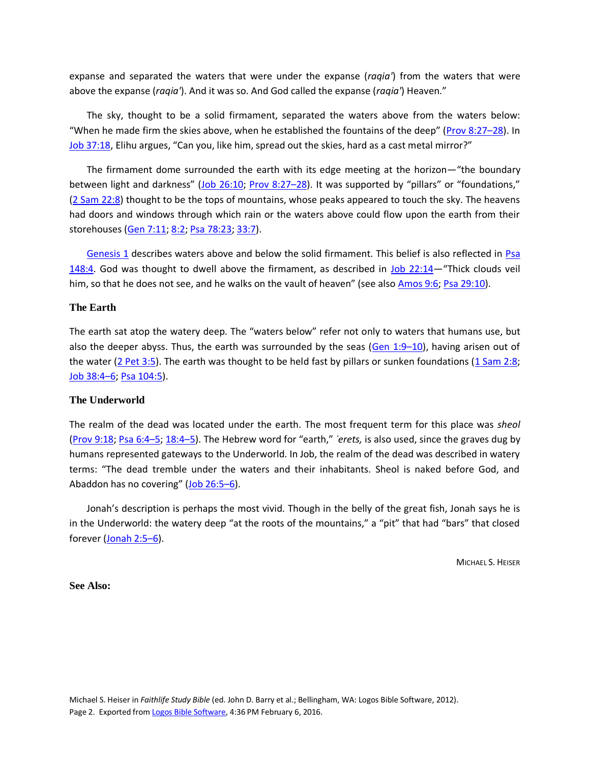expanse and separated the waters that were under the expanse (*raqia'*) from the waters that were above the expanse (*raqia'*). And it was so. And God called the expanse (*raqia'*) Heaven."

The sky, thought to be a solid firmament, separated the waters above from the waters below: "When he made firm the skies above, when he established the fountains of the deep" ([Prov 8:27](logosref:Bible.Pr8.27-28)–28). In [Job 37:18](logosref:Bible.Job37.18), Elihu argues, "Can you, like him, spread out the skies, hard as a cast metal mirror?"

The firmament dome surrounded the earth with its edge meeting at the horizon—"the boundary between light and darkness" ([Job 26:10;](logosref:Bible.Job26.10) [Prov 8:27](logosref:Bible.Pr8.27-28)–28). It was supported by "pillars" or "foundations," [\(2 Sam 22:8\)](logosref:Bible.2Sa22.8) thought to be the tops of mountains, whose peaks appeared to touch the sky. The heavens had doors and windows through which rain or the waters above could flow upon the earth from their storehouses [\(Gen 7:11;](logosref:Bible.Ge7.11) [8:2;](logosref:Bible.Ge8.2) [Psa 78:23;](logosref:Bible.Ps78.23) [33:7\)](logosref:Bible.Ps33.7).

[Genesis 1](logosref:Bible.Ge1) describes waters above and below the solid firmament. This belief is also reflected in Psa [148:4.](logosref:Bible.Ps148.4) God was thought to dwell above the firmament, as described in [Job 22:14](logosref:Bible.Job22.14)—"Thick clouds veil him, so that he does not see, and he walks on the vault of heaven" (see also [Amos 9:6;](logosref:Bible.Am9.6) [Psa 29:10\)](logosref:Bible.Ps29.10).

#### **The Earth**

The earth sat atop the watery deep. The "waters below" refer not only to waters that humans use, but also the deeper abyss. Thus, the earth was surrounded by the seas  $(Gen 1:9-10)$  $(Gen 1:9-10)$ , having arisen out of the water  $(2$  Pet 3:5). The earth was thought to be held fast by pillars or sunken foundations  $(1 \text{ Sam } 2:8;$ [Job 38:4](logosref:Bible.Job38.4-6)–6[; Psa 104:5\)](logosref:Bible.Ps104.5).

#### **The Underworld**

The realm of the dead was located under the earth. The most frequent term for this place was *sheol* [\(Prov 9:18;](logosref:Bible.Pr9.18) [Psa 6:4](logosref:Bible.Ps6.4-5)–5; [18:4](logosref:Bible.Ps18.4-5)–5). The Hebrew word for "earth," *ʾerets,* is also used, since the graves dug by humans represented gateways to the Underworld. In Job, the realm of the dead was described in watery terms: "The dead tremble under the waters and their inhabitants. Sheol is naked before God, and Abaddon has no covering" ([Job 26:5](logosref:Bible.Job26.5-6)-6).

Jonah's description is perhaps the most vivid. Though in the belly of the great fish, Jonah says he is in the Underworld: the watery deep "at the roots of the mountains," a "pit" that had "bars" that closed forever [\(Jonah 2:5](logosref:Bible.Jon2.5-6)–6).

MICHAEL S. HEISER

#### **See Also:**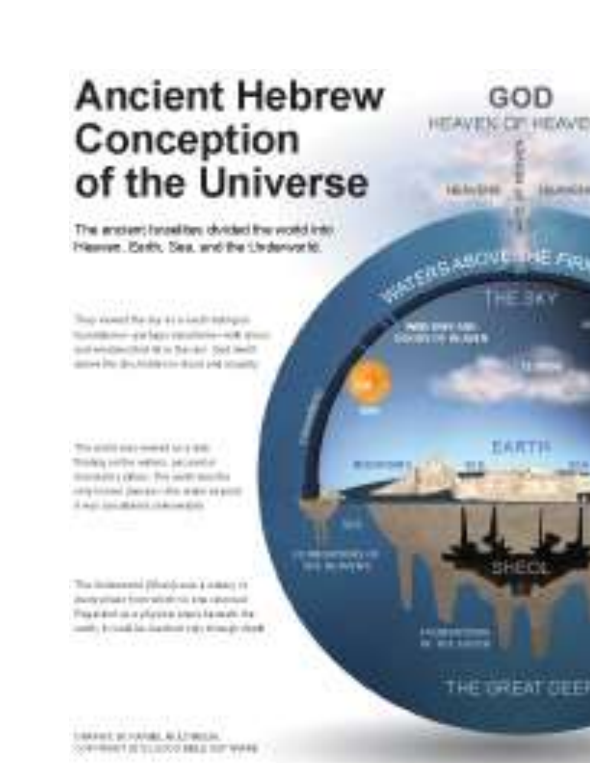# **Ancient Hebrew** Conception of the Universe

The anstern travelites shrided the world into Hawwe, Berth, Sea, and the Underworld.

Their example that this is a in a such trade-group. tunnism-exhausterie-sot at instrumental or a hando tool last delive Par Bruhishkein-Bizzi (44 Missilla

This strains state reversal future state Thinking painties wattern, paintenthall dependent particular. This section may this introduced percentage and the A majo kan attalo in a habitantista

The instances (that is sun 4 miles) 19 investment topy which his a purchasing This eld of as a physical short formatic forleastly, bylands his depotent (18) (Concely closed)

1/04/403 9014/080 46 E190124 CONVINIES IN STATISTICS AND A THE WARD

THE UREAT OEE

BHECK

GOD

**ACNUMBER** 

EARTH

**Kichn/Enet** 

**LIBEAN/E**